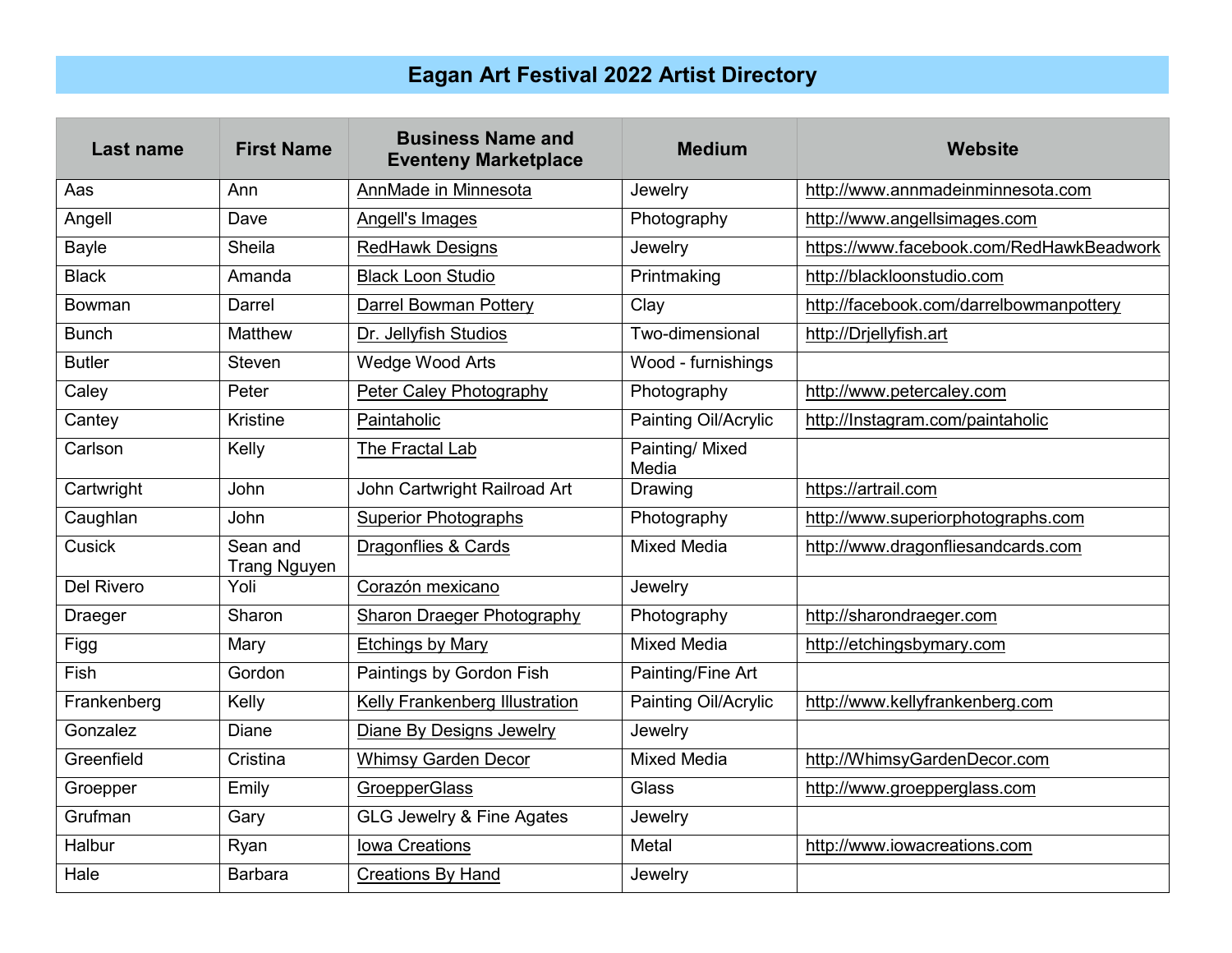## **Eagan Art Festival 2022 Artist Directory**

| <b>Last name</b>  | <b>First Name</b>               | <b>Business Name and</b><br><b>Eventeny Marketplace</b> | <b>Medium</b>            | <b>Website</b>                           |
|-------------------|---------------------------------|---------------------------------------------------------|--------------------------|------------------------------------------|
| Aas               | Ann                             | AnnMade in Minnesota                                    | Jewelry                  | http://www.annmadeinminnesota.com        |
| Angell            | Dave                            | Angell's Images                                         | Photography              | http://www.angellsimages.com             |
| <b>Bayle</b>      | Sheila                          | <b>RedHawk Designs</b>                                  | Jewelry                  | https://www.facebook.com/RedHawkBeadwork |
| <b>Black</b>      | Amanda                          | <b>Black Loon Studio</b>                                | Printmaking              | http://blackloonstudio.com               |
| Bowman            | Darrel                          | Darrel Bowman Pottery                                   | Clay                     | http://facebook.com/darrelbowmanpottery  |
| <b>Bunch</b>      | <b>Matthew</b>                  | Dr. Jellyfish Studios                                   | Two-dimensional          | http://Drjellyfish.art                   |
| <b>Butler</b>     | <b>Steven</b>                   | Wedge Wood Arts                                         | Wood - furnishings       |                                          |
| Caley             | Peter                           | Peter Caley Photography                                 | Photography              | http://www.petercaley.com                |
| Cantey            | <b>Kristine</b>                 | Paintaholic                                             | Painting Oil/Acrylic     | http://Instagram.com/paintaholic         |
| Carlson           | Kelly                           | The Fractal Lab                                         | Painting/ Mixed<br>Media |                                          |
| Cartwright        | <b>John</b>                     | John Cartwright Railroad Art                            | Drawing                  | https://artrail.com                      |
| Caughlan          | <b>John</b>                     | <b>Superior Photographs</b>                             | Photography              | http://www.superiorphotographs.com       |
| <b>Cusick</b>     | Sean and<br><b>Trang Nguyen</b> | Dragonflies & Cards                                     | <b>Mixed Media</b>       | http://www.dragonfliesandcards.com       |
| <b>Del Rivero</b> | Yoli                            | Corazón mexicano                                        | Jewelry                  |                                          |
| <b>Draeger</b>    | Sharon                          | Sharon Draeger Photography                              | Photography              | http://sharondraeger.com                 |
| Figg              | Mary                            | <b>Etchings by Mary</b>                                 | <b>Mixed Media</b>       | http://etchingsbymary.com                |
| <b>Fish</b>       | Gordon                          | Paintings by Gordon Fish                                | Painting/Fine Art        |                                          |
| Frankenberg       | Kelly                           | Kelly Frankenberg Illustration                          | Painting Oil/Acrylic     | http://www.kellyfrankenberg.com          |
| Gonzalez          | Diane                           | Diane By Designs Jewelry                                | Jewelry                  |                                          |
| Greenfield        | Cristina                        | <b>Whimsy Garden Decor</b>                              | <b>Mixed Media</b>       | http://WhimsyGardenDecor.com             |
| Groepper          | Emily                           | <b>GroepperGlass</b>                                    | Glass                    | http://www.groepperglass.com             |
| Grufman           | Gary                            | <b>GLG Jewelry &amp; Fine Agates</b>                    | Jewelry                  |                                          |
| Halbur            | Ryan                            | Iowa Creations                                          | Metal                    | http://www.iowacreations.com             |
| Hale              | <b>Barbara</b>                  | <b>Creations By Hand</b>                                | Jewelry                  |                                          |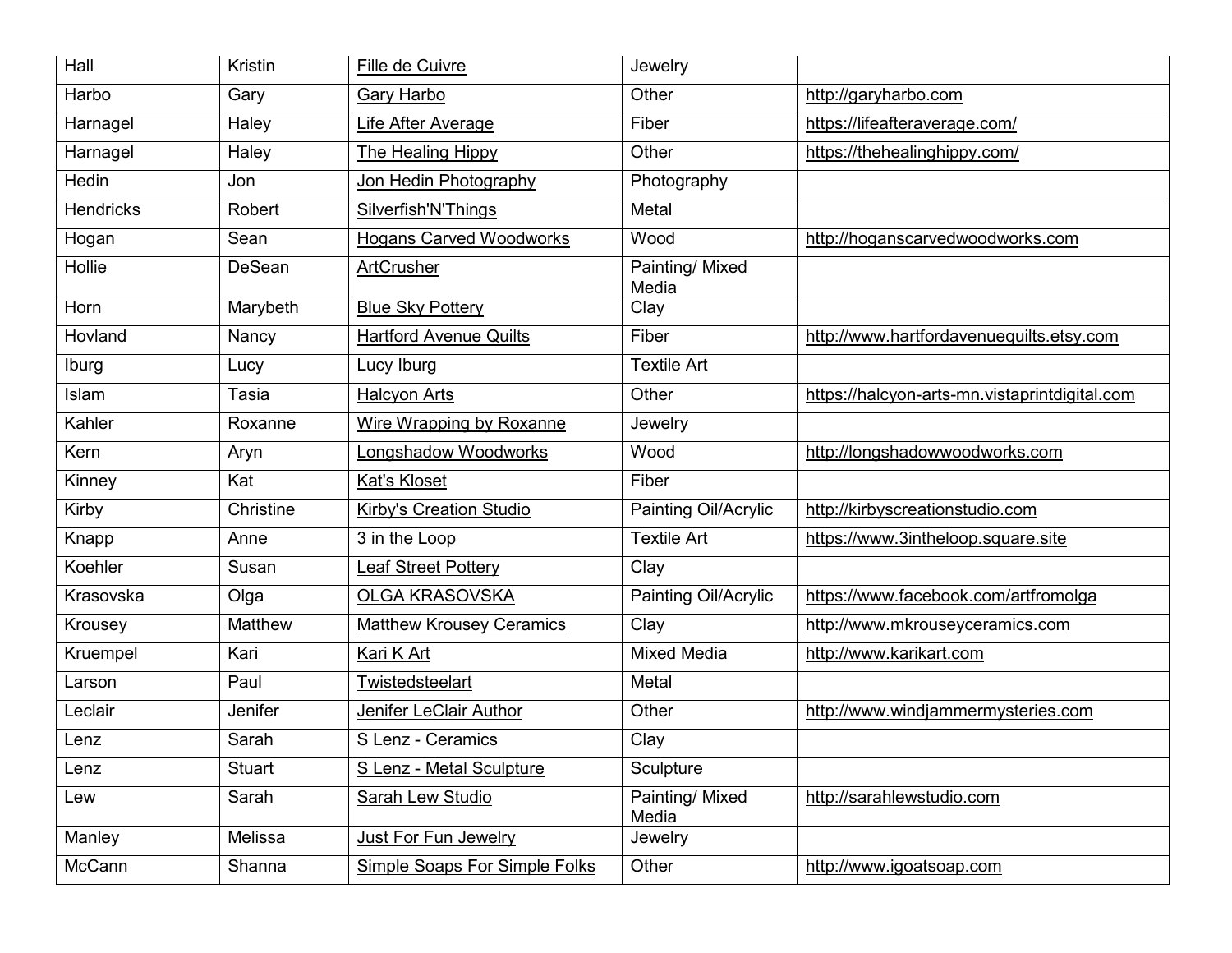| Hall             | Kristin       | Fille de Cuivre                      | Jewelry                  |                                               |
|------------------|---------------|--------------------------------------|--------------------------|-----------------------------------------------|
| Harbo            | Gary          | Gary Harbo                           | Other                    | http://garyharbo.com                          |
| Harnagel         | Haley         | <b>Life After Average</b>            | Fiber                    | https://lifeafteraverage.com/                 |
| Harnagel         | Haley         | The Healing Hippy                    | Other                    | https://thehealinghippy.com/                  |
| <b>Hedin</b>     | Jon           | Jon Hedin Photography                | Photography              |                                               |
| <b>Hendricks</b> | Robert        | Silverfish'N'Things                  | Metal                    |                                               |
| Hogan            | Sean          | <b>Hogans Carved Woodworks</b>       | Wood                     | http://hoganscarvedwoodworks.com              |
| Hollie           | DeSean        | ArtCrusher                           | Painting/ Mixed<br>Media |                                               |
| Horn             | Marybeth      | <b>Blue Sky Pottery</b>              | Clay                     |                                               |
| Hovland          | Nancy         | <b>Hartford Avenue Quilts</b>        | Fiber                    | http://www.hartfordavenuequilts.etsy.com      |
| Iburg            | Lucy          | Lucy Iburg                           | <b>Textile Art</b>       |                                               |
| Islam            | Tasia         | <b>Halcyon Arts</b>                  | Other                    | https://halcyon-arts-mn.vistaprintdigital.com |
| Kahler           | Roxanne       | Wire Wrapping by Roxanne             | Jewelry                  |                                               |
| Kern             | Aryn          | Longshadow Woodworks                 | Wood                     | http://longshadowwoodworks.com                |
| Kinney           | Kat           | Kat's Kloset                         | Fiber                    |                                               |
| Kirby            | Christine     | <b>Kirby's Creation Studio</b>       | Painting Oil/Acrylic     | http://kirbyscreationstudio.com               |
| Knapp            | Anne          | 3 in the Loop                        | <b>Textile Art</b>       | https://www.3intheloop.square.site            |
| Koehler          | Susan         | <b>Leaf Street Pottery</b>           | Clay                     |                                               |
| Krasovska        | Olga          | <b>OLGA KRASOVSKA</b>                | Painting Oil/Acrylic     | https://www.facebook.com/artfromolga          |
| Krousey          | Matthew       | <b>Matthew Krousey Ceramics</b>      | Clay                     | http://www.mkrouseyceramics.com               |
| Kruempel         | Kari          | Kari K Art                           | <b>Mixed Media</b>       | http://www.karikart.com                       |
| Larson           | Paul          | <b>Twistedsteelart</b>               | Metal                    |                                               |
| Leclair          | Jenifer       | Jenifer LeClair Author               | Other                    | http://www.windjammermysteries.com            |
| Lenz             | Sarah         | S Lenz - Ceramics                    | Clay                     |                                               |
| Lenz             | <b>Stuart</b> | S Lenz - Metal Sculpture             | Sculpture                |                                               |
| Lew              | Sarah         | <b>Sarah Lew Studio</b>              | Painting/ Mixed<br>Media | http://sarahlewstudio.com                     |
| Manley           | Melissa       | Just For Fun Jewelry                 | Jewelry                  |                                               |
| McCann           | Shanna        | <b>Simple Soaps For Simple Folks</b> | Other                    | http://www.igoatsoap.com                      |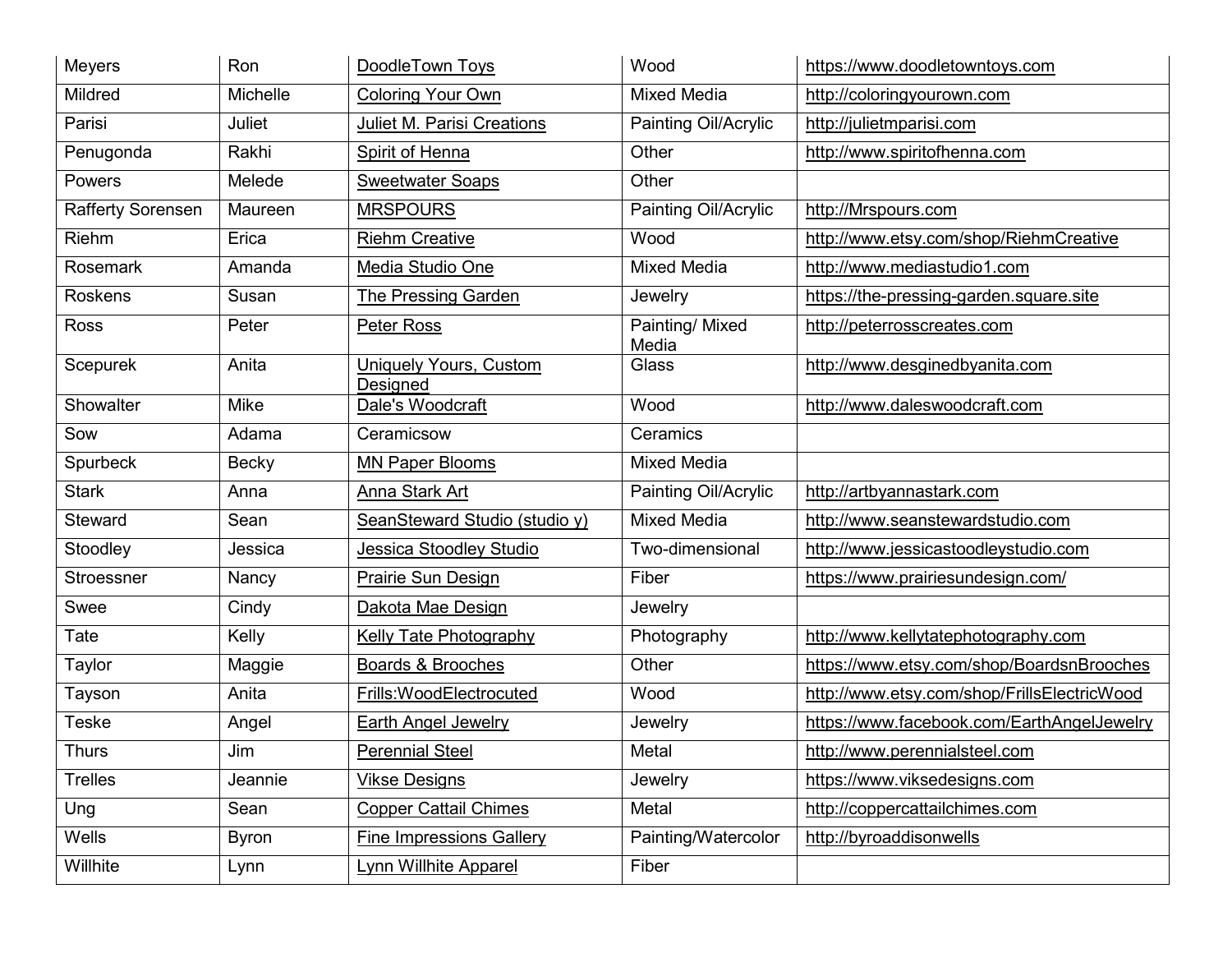| <b>Meyers</b>            | Ron          | DoodleTown Toys                           | Wood                     | https://www.doodletowntoys.com              |
|--------------------------|--------------|-------------------------------------------|--------------------------|---------------------------------------------|
| Mildred                  | Michelle     | <b>Coloring Your Own</b>                  | <b>Mixed Media</b>       | http://coloringyourown.com                  |
| Parisi                   | Juliet       | <b>Juliet M. Parisi Creations</b>         | Painting Oil/Acrylic     | http://julietmparisi.com                    |
| Penugonda                | Rakhi        | Spirit of Henna                           | Other                    | http://www.spiritofhenna.com                |
| Powers                   | Melede       | <b>Sweetwater Soaps</b>                   | Other                    |                                             |
| <b>Rafferty Sorensen</b> | Maureen      | <b>MRSPOURS</b>                           | Painting Oil/Acrylic     | http://Mrspours.com                         |
| Riehm                    | Erica        | <b>Riehm Creative</b>                     | Wood                     | http://www.etsy.com/shop/RiehmCreative      |
| <b>Rosemark</b>          | Amanda       | Media Studio One                          | <b>Mixed Media</b>       | http://www.mediastudio1.com                 |
| <b>Roskens</b>           | Susan        | <b>The Pressing Garden</b>                | Jewelry                  | https://the-pressing-garden.square.site     |
| <b>Ross</b>              | Peter        | Peter Ross                                | Painting/ Mixed<br>Media | http://peterrosscreates.com                 |
| Scepurek                 | Anita        | <b>Uniquely Yours, Custom</b><br>Designed | Glass                    | http://www.desginedbyanita.com              |
| Showalter                | Mike         | Dale's Woodcraft                          | Wood                     | http://www.daleswoodcraft.com               |
| Sow                      | Adama        | Ceramicsow                                | Ceramics                 |                                             |
| Spurbeck                 | <b>Becky</b> | <b>MN Paper Blooms</b>                    | <b>Mixed Media</b>       |                                             |
| <b>Stark</b>             | Anna         | Anna Stark Art                            | Painting Oil/Acrylic     | http://artbyannastark.com                   |
| Steward                  | Sean         | SeanSteward Studio (studio y)             | <b>Mixed Media</b>       | http://www.seanstewardstudio.com            |
| Stoodley                 | Jessica      | Jessica Stoodley Studio                   | Two-dimensional          | http://www.jessicastoodleystudio.com        |
| Stroessner               | Nancy        | <b>Prairie Sun Design</b>                 | Fiber                    | https://www.prairiesundesign.com/           |
| Swee                     | Cindy        | Dakota Mae Design                         | Jewelry                  |                                             |
| Tate                     | Kelly        | Kelly Tate Photography                    | Photography              | http://www.kellytatephotography.com         |
| Taylor                   | Maggie       | Boards & Brooches                         | Other                    | https://www.etsy.com/shop/BoardsnBrooches   |
| Tayson                   | Anita        | Frills: Wood Electrocuted                 | Wood                     | http://www.etsy.com/shop/FrillsElectricWood |
| <b>Teske</b>             | Angel        | <b>Earth Angel Jewelry</b>                | Jewelry                  | https://www.facebook.com/EarthAngelJewelry  |
| <b>Thurs</b>             | Jim          | <b>Perennial Steel</b>                    | Metal                    | http://www.perennialsteel.com               |
| <b>Trelles</b>           | Jeannie      | <b>Vikse Designs</b>                      | Jewelry                  | https://www.viksedesigns.com                |
| Ung                      | Sean         | <b>Copper Cattail Chimes</b>              | Metal                    | http://coppercattailchimes.com              |
| Wells                    | Byron        | <b>Fine Impressions Gallery</b>           | Painting/Watercolor      | http://byroaddisonwells                     |
| Willhite                 | Lynn         | Lynn Willhite Apparel                     | Fiber                    |                                             |